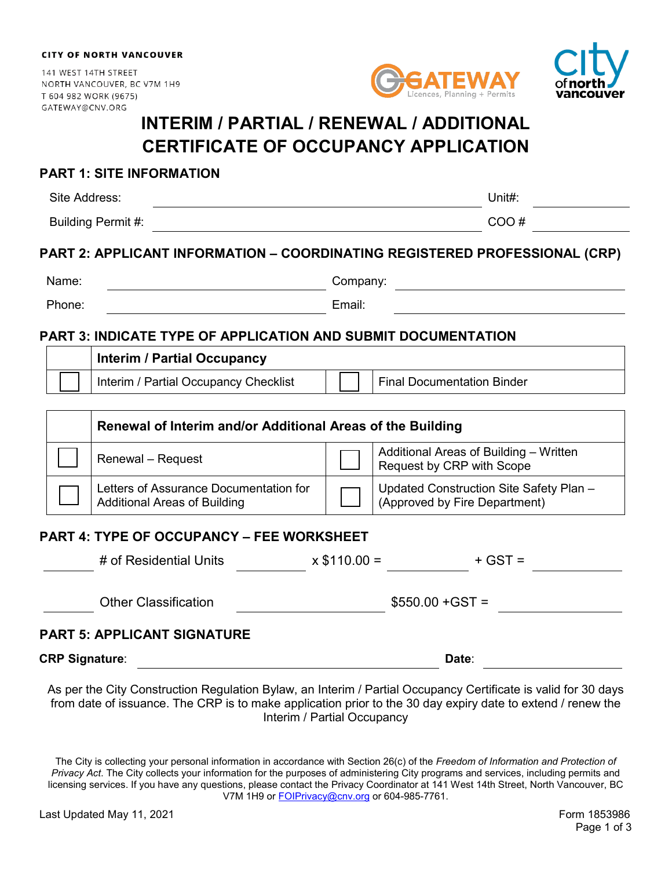141 WEST 14TH STREET NORTH VANCOUVER, BC V7M 1H9 T 604 982 WORK (9675) GATEWAY@CNV.ORG





## **INTERIM / PARTIAL / RENEWAL / ADDITIONAL CERTIFICATE OF OCCUPANCY APPLICATION**

## **PART 1: SITE INFORMATION**

| Site Address:      | Unit#:                                                                     |
|--------------------|----------------------------------------------------------------------------|
| Building Permit #: | COO#                                                                       |
|                    | PART 2: APPLICANT INFORMATION – COORDINATING REGISTERED PROFESSIONAL (CRP) |
| Name:              | Company:                                                                   |
| Phone:             | Email:                                                                     |
|                    |                                                                            |

#### **PART 3: INDICATE TYPE OF APPLICATION AND SUBMIT DOCUMENTATION**

| <b>Interim / Partial Occupancy</b>    |                                   |  |
|---------------------------------------|-----------------------------------|--|
| Interim / Partial Occupancy Checklist | <b>Final Documentation Binder</b> |  |

| Renewal of Interim and/or Additional Areas of the Building                    |  |                                                                          |  |
|-------------------------------------------------------------------------------|--|--------------------------------------------------------------------------|--|
| Renewal - Request                                                             |  | Additional Areas of Building – Written<br>Request by CRP with Scope      |  |
| Letters of Assurance Documentation for<br><b>Additional Areas of Building</b> |  | Updated Construction Site Safety Plan –<br>(Approved by Fire Department) |  |

### **PART 4: TYPE OF OCCUPANCY – FEE WORKSHEET**

| # of Residential Units                                                                                         | $x $110.00 =$ | $+$ GST =         |  |
|----------------------------------------------------------------------------------------------------------------|---------------|-------------------|--|
| <b>Other Classification</b>                                                                                    |               | $$550.00 + GST =$ |  |
| <b>PART 5: APPLICANT SIGNATURE</b>                                                                             |               |                   |  |
| <b>CRP Signature:</b>                                                                                          |               | Date:             |  |
| As per the City Construction Regulation Bylaw, an Interim / Partial Occupancy Certificate is valid for 30 days |               |                   |  |

As per the City Construction Regulation Bylaw, an Interim / Partial Occupancy Certificate is valid for 30 days from date of issuance. The CRP is to make application prior to the 30 day expiry date to extend / renew the Interim / Partial Occupancy

The City is collecting your personal information in accordance with Section 26(c) of the *Freedom of Information and Protection of Privacy Act*. The City collects your information for the purposes of administering City programs and services, including permits and licensing services. If you have any questions, please contact the Privacy Coordinator at 141 West 14th Street, North Vancouver, BC V7M 1H9 or [FOIPrivacy@cnv.org](mailto:FOIPrivacy@cnv.org) or 604-985-7761.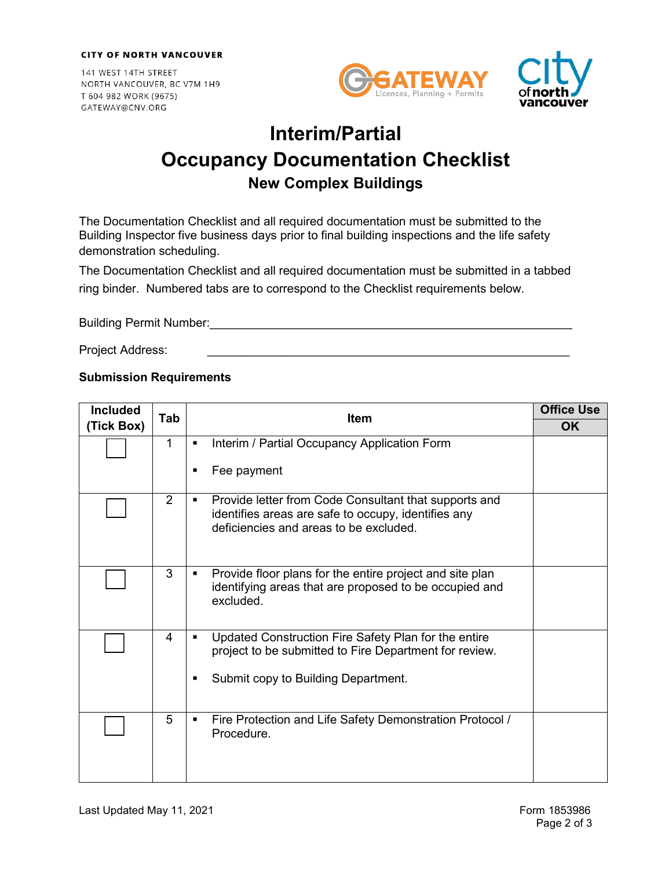141 WEST 14TH STREET NORTH VANCOUVER, BC V7M 1H9 T 604 982 WORK (9675) GATEWAY@CNV.ORG





# **Interim/Partial Occupancy Documentation Checklist New Complex Buildings**

The Documentation Checklist and all required documentation must be submitted to the Building Inspector five business days prior to final building inspections and the life safety demonstration scheduling.

The Documentation Checklist and all required documentation must be submitted in a tabbed ring binder. Numbered tabs are to correspond to the Checklist requirements below.

Building Permit Number: **Example 10** and the set of the set of the set of the set of the set of the set of the set of the set of the set of the set of the set of the set of the set of the set of the set of the set of the s

Project Address:

### **Submission Requirements**

| <b>Included</b>  | Tab            | Item                                                                                                                                                                                      | <b>Office Use</b> |
|------------------|----------------|-------------------------------------------------------------------------------------------------------------------------------------------------------------------------------------------|-------------------|
| <b>Tick Box)</b> |                |                                                                                                                                                                                           | <b>OK</b>         |
|                  | 1              | Interim / Partial Occupancy Application Form<br>$\blacksquare$<br>Fee payment<br>٠                                                                                                        |                   |
|                  |                |                                                                                                                                                                                           |                   |
|                  | $\overline{2}$ | Provide letter from Code Consultant that supports and<br>٠<br>identifies areas are safe to occupy, identifies any<br>deficiencies and areas to be excluded.                               |                   |
|                  | 3              | Provide floor plans for the entire project and site plan<br>Ξ<br>identifying areas that are proposed to be occupied and<br>excluded.                                                      |                   |
|                  | 4              | Updated Construction Fire Safety Plan for the entire<br>$\blacksquare$<br>project to be submitted to Fire Department for review.<br>Submit copy to Building Department.<br>$\blacksquare$ |                   |
|                  | 5              | Fire Protection and Life Safety Demonstration Protocol /<br>$\blacksquare$<br>Procedure.                                                                                                  |                   |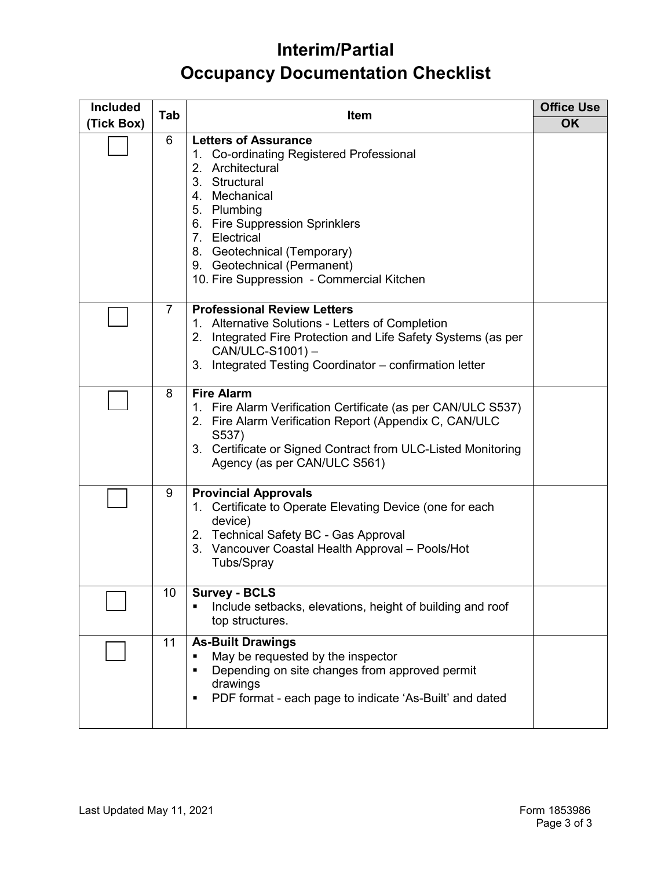# **Interim/Partial Occupancy Documentation Checklist**

| <b>Included</b> | Tab | Item                                                                                                                                                                                                                                                                                                          | <b>Office Use</b> |
|-----------------|-----|---------------------------------------------------------------------------------------------------------------------------------------------------------------------------------------------------------------------------------------------------------------------------------------------------------------|-------------------|
| (Tick Box)      |     |                                                                                                                                                                                                                                                                                                               | <b>OK</b>         |
|                 | 6   | <b>Letters of Assurance</b><br>1. Co-ordinating Registered Professional<br>Architectural<br>2.<br>3. Structural<br>4. Mechanical<br>5. Plumbing<br>6. Fire Suppression Sprinklers<br>7. Electrical<br>8. Geotechnical (Temporary)<br>9. Geotechnical (Permanent)<br>10. Fire Suppression - Commercial Kitchen |                   |
|                 | 7   | <b>Professional Review Letters</b><br>1. Alternative Solutions - Letters of Completion<br>2. Integrated Fire Protection and Life Safety Systems (as per<br>CAN/ULC-S1001)-<br>3. Integrated Testing Coordinator - confirmation letter                                                                         |                   |
|                 | 8   | <b>Fire Alarm</b><br>1. Fire Alarm Verification Certificate (as per CAN/ULC S537)<br>2. Fire Alarm Verification Report (Appendix C, CAN/ULC<br>S537)<br>3. Certificate or Signed Contract from ULC-Listed Monitoring<br>Agency (as per CAN/ULC S561)                                                          |                   |
|                 | 9   | <b>Provincial Approvals</b><br>Certificate to Operate Elevating Device (one for each<br>1.<br>device)<br>2. Technical Safety BC - Gas Approval<br>3. Vancouver Coastal Health Approval - Pools/Hot<br>Tubs/Spray                                                                                              |                   |
|                 | 10  | <b>Survey - BCLS</b><br>Include setbacks, elevations, height of building and roof<br>top structures.                                                                                                                                                                                                          |                   |
|                 | 11  | <b>As-Built Drawings</b><br>May be requested by the inspector<br>٠<br>Depending on site changes from approved permit<br>П<br>drawings<br>PDF format - each page to indicate 'As-Built' and dated<br>٠                                                                                                         |                   |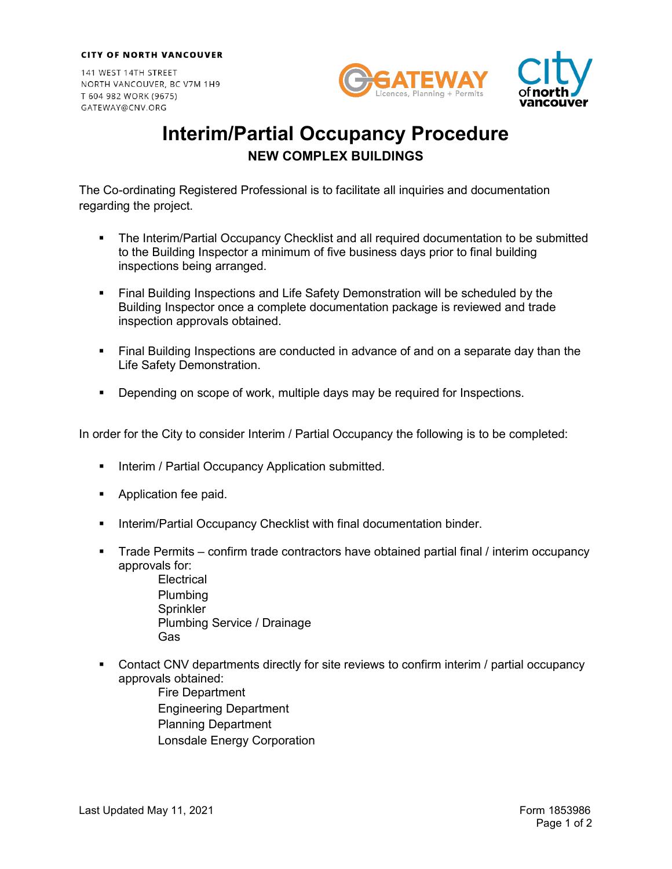141 WEST 14TH STREET NORTH VANCOUVER, BC V7M 1H9 T 604 982 WORK (9675) GATEWAY@CNV.ORG





## **Interim/Partial Occupancy Procedure NEW COMPLEX BUILDINGS**

The Co-ordinating Registered Professional is to facilitate all inquiries and documentation regarding the project.

- The Interim/Partial Occupancy Checklist and all required documentation to be submitted to the Building Inspector a minimum of five business days prior to final building inspections being arranged.
- **Final Building Inspections and Life Safety Demonstration will be scheduled by the** Building Inspector once a complete documentation package is reviewed and trade inspection approvals obtained.
- Final Building Inspections are conducted in advance of and on a separate day than the Life Safety Demonstration.
- **•** Depending on scope of work, multiple days may be required for Inspections.

In order for the City to consider Interim / Partial Occupancy the following is to be completed:

- Interim / Partial Occupancy Application submitted.
- **Application fee paid.**
- **Interim/Partial Occupancy Checklist with final documentation binder.**
- Trade Permits confirm trade contractors have obtained partial final / interim occupancy approvals for:
	- **Electrical** Plumbing **Sprinkler** Plumbing Service / Drainage Gas
- Contact CNV departments directly for site reviews to confirm interim / partial occupancy approvals obtained:
	- Fire Department Engineering Department Planning Department Lonsdale Energy Corporation